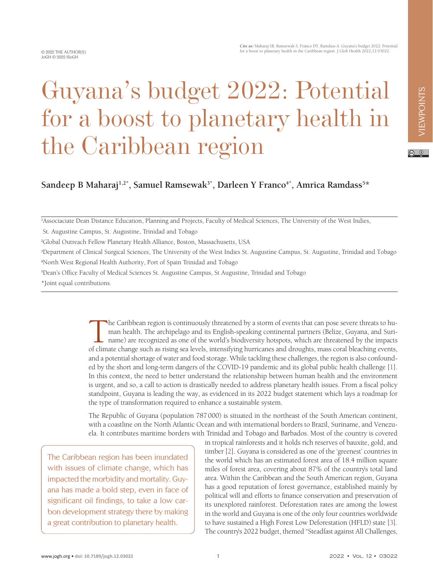## $\circ$   $\circ$

 $\mathsf{S}$ andeep B Maharaj<sup>1,2\*</sup>, Samuel Ramsewak<sup>3\*</sup>, Darleen Y Franco<sup>4\*</sup>, Amrica Ramdass<sup>5\*</sup>

Guyana's budget 2022: Potential

for a boost to planetary health in

<sup>1</sup>Associaciate Dean Distance Education, Planning and Projects, Faculty of Medical Sciences, The University of the West Indies,

St. Augustine Campus, St. Augustine, Trinidad and Tobago

<sup>2</sup>Global Outreach Fellow Planetary Health Alliance, Boston, Massachusetts, USA

the Caribbean region

<sup>3</sup>Department of Clinical Surgical Sciences, The University of the West Indies St. Augustine Campus, St. Augustine, Trinidad and Tobago <sup>4</sup>North West Regional Health Authority, Port of Spain Trinidad and Tobago

<sup>5</sup>Dean's Office Faculty of Medical Sciences St. Augustine Campus, St Augustine, Trinidad and Tobago

\*Joint equal contributions.

The Caribbean region is continuously threatened by a storm of events that can pose severe threats to human health. The archipelago and its English-speaking continental partners (Belize, Guyana, and Suriname) are recognized man health. The archipelago and its English-speaking continental partners (Belize, Guyana, and Suriname) are recognized as one of the world's biodiversity hotspots, which are threatened by the impacts of climate change such as rising sea levels, intensifying hurricanes and droughts, mass coral bleaching events, and a potential shortage of water and food storage. While tackling these challenges, the region is also confounded by the short and long-term dangers of the COVID-19 pandemic and its global public health challenge [\[1](#page-2-0)]. In this context, the need to better understand the relationship between human health and the environment is urgent, and so, a call to action is drastically needed to address planetary health issues. From a fiscal policy standpoint, Guyana is leading the way, as evidenced in its 2022 budget statement which lays a roadmap for the type of transformation required to enhance a sustainable system.

The Republic of Guyana (population 787000) is situated in the northeast of the South American continent, with a coastline on the North Atlantic Ocean and with international borders to Brazil, Suriname, and Venezuela. It contributes maritime borders with Trinidad and Tobago and Barbados. Most of the country is covered

The Caribbean region has been inundated with issues of climate change, which has impacted the morbidity and mortality. Guyana has made a bold step, even in face of significant oil findings, to take a low carbon development strategy there by making a great contribution to planetary health.

in tropical rainforests and it holds rich reserves of bauxite, gold, and timber [\[2](#page-2-1)]. Guyana is considered as one of the 'greenest' countries in the world which has an estimated forest area of 18.4 million square miles of forest area, covering about 87% of the country's total land area. Within the Caribbean and the South American region, Guyana has a good reputation of forest governance, established mainly by political will and efforts to finance conservation and preservation of its unexplored rainforest. Deforestation rates are among the lowest in the world and Guyana is one of the only four countries worldwide to have sustained a High Forest Low Deforestation (HFLD) state [\[3](#page-2-2)]. The country's 2022 budget, themed "Steadfast against All Challenges,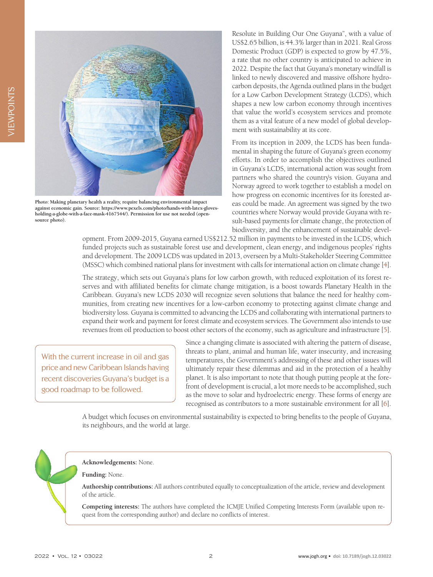

**Photo: Making planetary health a reality, require balancing environmental impact against economic gain. Source: https://www.pexels.com/photo/hands-with-latex-glovesholding-a-globe-with-a-face-mask-4167544/). Permission for use not needed (opensource photo).**

Resolute in Building Our One Guyana", with a value of US\$2.65 billion, is 44.3% larger than in 2021. Real Gross Domestic Product (GDP) is expected to grow by 47.5%, a rate that no other country is anticipated to achieve in 2022. Despite the fact that Guyana's monetary windfall is linked to newly discovered and massive offshore hydrocarbon deposits, the Agenda outlined plans in the budget for a Low Carbon Development Strategy (LCDS), which shapes a new low carbon economy through incentives that value the world's ecosystem services and promote them as a vital feature of a new model of global development with sustainability at its core.

From its inception in 2009, the LCDS has been fundamental in shaping the future of Guyana's green economy efforts. In order to accomplish the objectives outlined in Guyana's LCDS, international action was sought from partners who shared the country's vision. Guyana and Norway agreed to work together to establish a model on how progress on economic incentives for its forested areas could be made. An agreement was signed by the two countries where Norway would provide Guyana with result-based payments for climate change, the protection of biodiversity, and the enhancement of sustainable devel-

opment. From 2009-2015, Guyana earned US\$212.52 million in payments to be invested in the LCDS, which funded projects such as sustainable forest use and development, clean energy, and indigenous peoples' rights and development. The 2009 LCDS was updated in 2013, overseen by a Multi-Stakeholder Steering Committee (MSSC) which combined national plans for investment with calls for international action on climate change [\[4\]](#page-2-3).

The strategy, which sets out Guyana's plans for low carbon growth, with reduced exploitation of its forest reserves and with affiliated benefits for climate change mitigation, is a boost towards Planetary Health in the Caribbean. Guyana's new LCDS 2030 will recognize seven solutions that balance the need for healthy communities, from creating new incentives for a low-carbon economy to protecting against climate change and biodiversity loss. Guyana is committed to advancing the LCDS and collaborating with international partners to expand their work and payment for forest climate and ecosystem services. The Government also intends to use revenues from oil production to boost other sectors of the economy, such as agriculture and infrastructure [[5\]](#page-2-4).

With the current increase in oil and gas price and new Caribbean Islands having recent discoveries Guyana's budget is a good roadmap to be followed.

Since a changing climate is associated with altering the pattern of disease, threats to plant, animal and human life, water insecurity, and increasing temperatures, the Government's addressing of these and other issues will ultimately repair these dilemmas and aid in the protection of a healthy planet. It is also important to note that though putting people at the forefront of development is crucial, a lot more needs to be accomplished, such as the move to solar and hydroelectric energy. These forms of energy are recognised as contributors to a more sustainable environment for all [[6\]](#page-2-5).

A budget which focuses on environmental sustainability is expected to bring benefits to the people of Guyana, its neighbours, and the world at large.

**Acknowledgements:** None.

**Funding:** None.

**Authorship contributions:** All authors contributed equally to conceptualization of the article, review and development of the article.

**Competing interests:** The authors have completed the ICMJE Unified Competing Interests Form (available upon request from the corresponding author) and declare no conflicts of interest.